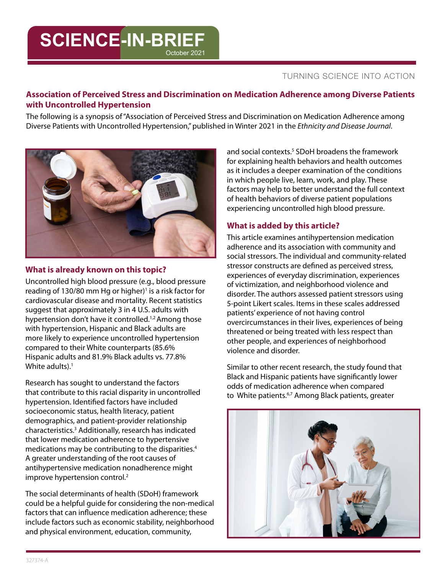## TURNING SCIENCE INTO ACTION

## **Association of Perceived Stress and Discrimination on Medication Adherence among Diverse Patients with Uncontrolled Hypertension**

The following is a synopsis of "Association of Perceived Stress and Discrimination on Medication Adherence among Diverse Patients with Uncontrolled Hypertension," published in Winter 2021 in the *Ethnicity and Disease Journal*.

October 2021



**SCIENCE-IN-BRIEF**

### **What is already known on this topic?**

Uncontrolled high blood pressure (e.g., blood pressure reading of 130/80 mm Hg or higher)<sup>1</sup> is a risk factor for cardiovascular disease and mortality. Recent statistics suggest that approximately 3 in 4 U.S. adults with hypertension don't have it controlled.<sup>1,2</sup> Among those with hypertension, Hispanic and Black adults are more likely to experience uncontrolled hypertension compared to their White counterparts (85.6% Hispanic adults and 81.9% Black adults vs. 77.8% White adults). $<sup>1</sup>$ </sup>

Research has sought to understand the factors that contribute to this racial disparity in uncontrolled hypertension. Identified factors have included socioeconomic status, health literacy, patient demographics, and patient-provider relationship characteristics.3 Additionally, research has indicated that lower medication adherence to hypertensive medications may be contributing to the disparities.4 A greater understanding of the root causes of antihypertensive medication nonadherence might improve hypertension control.<sup>2</sup>

The social determinants of health (SDoH) framework could be a helpful guide for considering the non-medical factors that can influence medication adherence; these include factors such as economic stability, neighborhood and physical environment, education, community,

and social contexts.<sup>5</sup> SDoH broadens the framework for explaining health behaviors and health outcomes as it includes a deeper examination of the conditions in which people live, learn, work, and play. These factors may help to better understand the full context of health behaviors of diverse patient populations experiencing uncontrolled high blood pressure.

# **What is added by this article?**

This article examines antihypertension medication adherence and its association with community and social stressors. The individual and community-related stressor constructs are defined as perceived stress, experiences of everyday discrimination, experiences of victimization, and neighborhood violence and disorder. The authors assessed patient stressors using 5-point Likert scales. Items in these scales addressed patients' experience of not having control overcircumstances in their lives, experiences of being threatened or being treated with less respect than other people, and experiences of neighborhood violence and disorder.

Similar to other recent research, the study found that Black and Hispanic patients have significantly lower odds of medication adherence when compared to White patients.<sup>6,7</sup> Among Black patients, greater

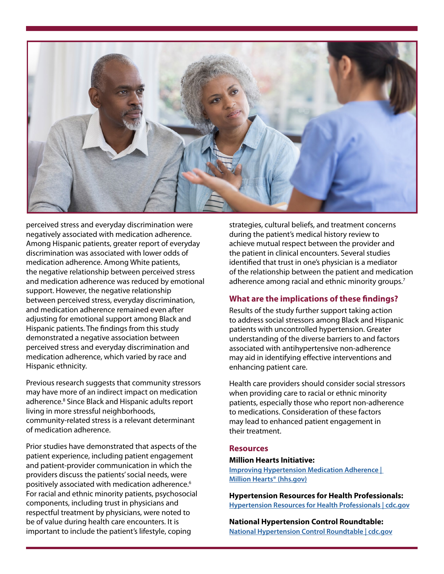

perceived stress and everyday discrimination were negatively associated with medication adherence. Among Hispanic patients, greater report of everyday discrimination was associated with lower odds of medication adherence. Among White patients, the negative relationship between perceived stress and medication adherence was reduced by emotional support. However, the negative relationship between perceived stress, everyday discrimination, and medication adherence remained even after adjusting for emotional support among Black and Hispanic patients. The findings from this study demonstrated a negative association between perceived stress and everyday discrimination and medication adherence, which varied by race and Hispanic ethnicity.

Previous research suggests that community stressors may have more of an indirect impact on medication adherence.<sup>8</sup> Since Black and Hispanic adults report living in more stressful neighborhoods, community-related stress is a relevant determinant of medication adherence.

Prior studies have demonstrated that aspects of the patient experience, including patient engagement and patient-provider communication in which the providers discuss the patients' social needs, were positively associated with medication adherence.6 For racial and ethnic minority patients, psychosocial components, including trust in physicians and respectful treatment by physicians, were noted to be of value during health care encounters. It is important to include the patient's lifestyle, coping

strategies, cultural beliefs, and treatment concerns during the patient's medical history review to achieve mutual respect between the provider and the patient in clinical encounters. Several studies identified that trust in one's physician is a mediator of the relationship between the patient and medication adherence among racial and ethnic minority groups.<sup>7</sup>

## **What are the implications of these findings?**

Results of the study further support taking action to address social stressors among Black and Hispanic patients with uncontrolled hypertension. Greater understanding of the diverse barriers to and factors associated with antihypertensive non-adherence may aid in identifying effective interventions and enhancing patient care.

Health care providers should consider social stressors when providing care to racial or ethnic minority patients, especially those who report non-adherence to medications. Consideration of these factors may lead to enhanced patient engagement in their treatment.

#### **Resources**

#### **Million Hearts Initiative:**

**[Improving Hypertension Medication Adherence |](https://millionhearts.hhs.gov/data-reports/factsheets/adherence.html#:~:text=High%20adherence%20to%20antihypertensive%20medication,from%2050%25%20to%2080%25.&text=As%20a%20health%20care%20professional,take%20their%20medications%20as%20prescribed.)  [Million Hearts® \(hhs.gov\)](https://millionhearts.hhs.gov/data-reports/factsheets/adherence.html#:~:text=High%20adherence%20to%20antihypertensive%20medication,from%2050%25%20to%2080%25.&text=As%20a%20health%20care%20professional,take%20their%20medications%20as%20prescribed.)**

**Hypertension Resources for Health Professionals: [Hypertension Resources for Health Professionals | cdc.gov](https://www.cdc.gov/bloodpressure/educational_materials.htm)**

**National Hypertension Control Roundtable: [National Hypertension Control Roundtable | cdc.gov](https://www.cdc.gov/dhdsp/programs/hypertension-roundtable.htm)**